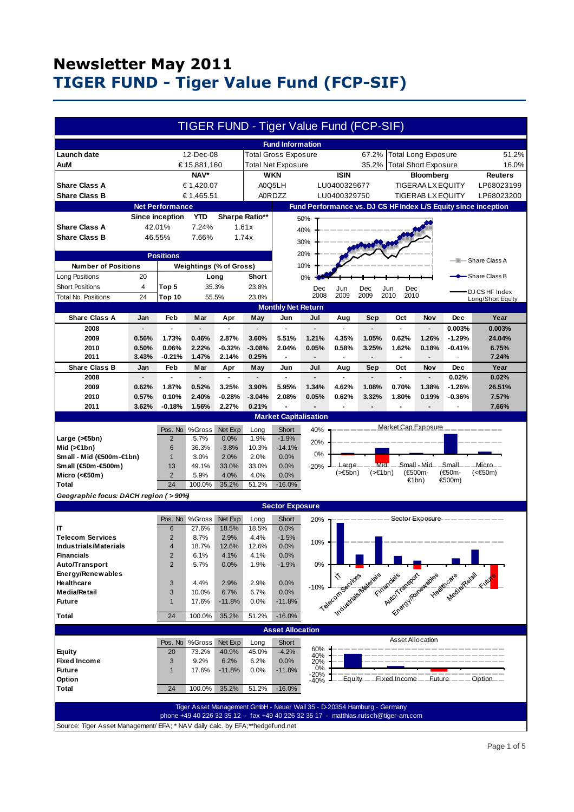|                                                                               |                |                        |                           |                         |                   |                              |                          |                  | TIGER FUND - Tiger Value Fund (FCP-SIF)                                            |                            |                             |                                                                                                                 |                                                                |
|-------------------------------------------------------------------------------|----------------|------------------------|---------------------------|-------------------------|-------------------|------------------------------|--------------------------|------------------|------------------------------------------------------------------------------------|----------------------------|-----------------------------|-----------------------------------------------------------------------------------------------------------------|----------------------------------------------------------------|
|                                                                               |                |                        |                           |                         |                   | <b>Fund Information</b>      |                          |                  |                                                                                    |                            |                             |                                                                                                                 |                                                                |
| Launch date                                                                   |                |                        | 12-Dec-08                 |                         |                   | <b>Total Gross Exposure</b>  |                          |                  | 67.2%                                                                              |                            | <b>Total Long Exposure</b>  |                                                                                                                 | 51.2%                                                          |
| AuM                                                                           |                |                        | € 15,881,160              |                         |                   | <b>Total Net Exposure</b>    |                          |                  | 35.2%                                                                              |                            | <b>Total Short Exposure</b> |                                                                                                                 | 16.0%                                                          |
| NAV*                                                                          |                |                        | <b>WKN</b><br><b>ISIN</b> |                         |                   | <b>Bloomberg</b>             |                          |                  |                                                                                    | <b>Reuters</b>             |                             |                                                                                                                 |                                                                |
| <b>Share Class A</b><br>€ 1,420.07                                            |                |                        | A0Q5LH<br>LU0400329677    |                         |                   |                              | <b>TIGERAA LX EQUITY</b> |                  |                                                                                    |                            | LP68023199                  |                                                                                                                 |                                                                |
| <b>Share Class B</b>                                                          |                |                        | € 1,465.51                |                         |                   | <b>A0RDZZ</b>                |                          | LU0400329750     |                                                                                    |                            | <b>TIGERAB LX EQUITY</b>    |                                                                                                                 | LP68023200                                                     |
|                                                                               |                | <b>Net Performance</b> |                           |                         |                   |                              |                          |                  |                                                                                    |                            |                             |                                                                                                                 | Fund Performance vs. DJ CS HF Index L/S Equity since inception |
|                                                                               |                | <b>Since inception</b> |                           | Sharpe Ratio**          |                   |                              |                          |                  |                                                                                    |                            |                             |                                                                                                                 |                                                                |
| <b>Share Class A</b>                                                          |                |                        | YTD                       |                         |                   |                              | 50%                      |                  |                                                                                    |                            |                             |                                                                                                                 |                                                                |
|                                                                               |                | 42.01%                 | 7.24%                     |                         | 1.61x             |                              | 40%                      |                  |                                                                                    |                            |                             |                                                                                                                 |                                                                |
| <b>Share Class B</b>                                                          |                | 46.55%                 | 7.66%                     |                         | 1.74x             |                              | 30%                      |                  |                                                                                    |                            |                             |                                                                                                                 |                                                                |
| <b>Positions</b>                                                              |                |                        |                           |                         | 20%               |                              |                          |                  |                                                                                    |                            |                             |                                                                                                                 |                                                                |
| <b>Number of Positions</b>                                                    |                |                        |                           | Weightings (% of Gross) |                   |                              | 10%                      |                  |                                                                                    |                            |                             |                                                                                                                 | - Share Class A                                                |
|                                                                               | 20             |                        |                           |                         | Short             |                              |                          |                  |                                                                                    |                            |                             |                                                                                                                 | -Share Class B                                                 |
| Long Positions                                                                |                |                        |                           | Long                    |                   |                              | 0%                       |                  |                                                                                    |                            |                             |                                                                                                                 |                                                                |
| <b>Short Positions</b>                                                        | 4              | Top 5                  |                           | 35.3%                   | 23.8%             |                              | Dec<br>2008              | Jun<br>2009      | Dec<br>2009                                                                        | Dec<br>Jun<br>2010<br>2010 |                             |                                                                                                                 | DJ CS HF Index                                                 |
| Total No. Positions                                                           | 24             | Top 10                 |                           | 55.5%                   | 23.8%             |                              |                          |                  |                                                                                    |                            |                             |                                                                                                                 | Long/Short Equity                                              |
|                                                                               |                |                        |                           |                         |                   | <b>Monthly Net Return</b>    |                          |                  |                                                                                    |                            |                             |                                                                                                                 |                                                                |
| <b>Share Class A</b>                                                          | Jan            | Feb                    | Mar                       | Apr                     | May               | Jun                          | Jul                      | Aug              | Sep                                                                                | Oct                        | Nov                         | <b>Dec</b>                                                                                                      | Year                                                           |
| 2008                                                                          |                | $\overline{a}$         |                           |                         |                   |                              |                          |                  |                                                                                    | $\overline{a}$             |                             | 0.003%                                                                                                          | 0.003%                                                         |
| 2009                                                                          | 0.56%          | 1.73%                  | 0.46%                     | 2.87%                   | 3.60%             | 5.51%                        | 1.21%                    | 4.35%            | 1.05%                                                                              | 0.62%                      | 1.26%                       | $-1.29%$                                                                                                        | 24.04%                                                         |
| 2010                                                                          | 0.50%          | 0.06%                  | 2.22%                     | $-0.32%$                | $-3.08%$          | 2.04%                        | 0.05%                    | 0.58%            | 3.25%                                                                              | 1.62%                      | 0.18%                       | $-0.41%$                                                                                                        | 6.75%                                                          |
| 2011                                                                          | 3.43%          | $-0.21%$               | 1.47%                     | 2.14%                   | 0.25%             |                              |                          |                  | $\overline{a}$                                                                     | $\overline{a}$             |                             |                                                                                                                 | 7.24%                                                          |
| <b>Share Class B</b>                                                          | Jan            | Feb<br>L.              | Mar                       | Apr<br>÷.               | May               | Jun                          | Jul                      | Aug              | Sep                                                                                | Oct<br>$\overline{a}$      | Nov                         | <b>Dec</b>                                                                                                      | Year                                                           |
| 2008                                                                          |                |                        |                           |                         |                   |                              |                          |                  |                                                                                    |                            |                             | 0.02%<br>$-1.26%$                                                                                               | 0.02%                                                          |
| 2009                                                                          | 0.62%          | 1.87%                  | 0.52%                     | 3.25%                   | 3.90%             | 5.95%                        | 1.34%                    | 4.62%            | 1.08%                                                                              | 0.70%                      | 1.38%                       |                                                                                                                 | 26.51%                                                         |
| 2010                                                                          | 0.57%<br>3.62% | 0.10%                  | 2.40%<br>1.56%            | $-0.28%$<br>2.27%       | $-3.04%$<br>0.21% | 2.08%                        | 0.05%                    | 0.62%            | 3.32%                                                                              | 1.80%                      | 0.19%                       | $-0.36%$                                                                                                        | 7.57%                                                          |
| 2011                                                                          |                | $-0.18%$               |                           |                         |                   | <b>Market Capitalisation</b> |                          |                  |                                                                                    |                            |                             |                                                                                                                 | 7.66%                                                          |
|                                                                               |                |                        |                           |                         |                   |                              |                          |                  |                                                                                    |                            |                             |                                                                                                                 |                                                                |
|                                                                               |                | Pos. No                | %Gross                    | Net Exp                 | Long              | Short                        | 40%                      |                  |                                                                                    | Market Cap Exposure        |                             |                                                                                                                 |                                                                |
| Large $($ > €5bn)                                                             |                | $\overline{2}$         | 5.7%                      | 0.0%                    | 1.9%              | $-1.9%$                      | 20%                      |                  |                                                                                    |                            |                             |                                                                                                                 |                                                                |
| Mid $($ > $\in$ 1bn)                                                          |                | 6                      | 36.3%                     | $-3.8%$                 | 10.3%             | $-14.1%$                     | 0%                       |                  |                                                                                    |                            |                             |                                                                                                                 |                                                                |
| Small - Mid (€500m-€1bn)<br>Small (€50m-€500m)                                |                | $\mathbf{1}$<br>13     | 3.0%<br>49.1%             | 2.0%<br>33.0%           | 2.0%<br>33.0%     | 0.0%<br>0.0%                 | $-20%$                   | Large            | Mid-                                                                               |                            | -Small - Mid-               | Small                                                                                                           | —Micro——                                                       |
| Micro (<€50m)                                                                 |                | $\overline{2}$         | 5.9%                      | 4.0%                    | 4.0%              | 0.0%                         |                          | $($ > $\in$ 5bn) | $($ >€1bn $)$                                                                      |                            | (€500m-                     | (€50m-                                                                                                          | $(50m)$                                                        |
| <b>Total</b>                                                                  |                | 24                     | 100.0%                    | 35.2%                   | 51.2%             | $-16.0%$                     |                          |                  |                                                                                    |                            | €1bn)                       | €500m)                                                                                                          |                                                                |
|                                                                               |                |                        |                           |                         |                   |                              |                          |                  |                                                                                    |                            |                             |                                                                                                                 |                                                                |
| Geographic focus: DACH region ( > 90%)<br><b>Sector Exposure</b>              |                |                        |                           |                         |                   |                              |                          |                  |                                                                                    |                            |                             |                                                                                                                 |                                                                |
|                                                                               |                |                        |                           |                         |                   |                              |                          |                  |                                                                                    |                            |                             | Sector Exposure – – – – – –                                                                                     |                                                                |
| IT                                                                            |                | 6                      | Pos. No %Gross<br>27.6%   | Net Exp<br>18.5%        | Long<br>18.5%     | Short<br>0.0%                | 20%                      |                  |                                                                                    |                            |                             |                                                                                                                 |                                                                |
| <b>Telecom Services</b>                                                       |                | $\overline{2}$         | 8.7%                      | 2.9%                    | 4.4%              | $-1.5%$                      |                          |                  |                                                                                    |                            |                             |                                                                                                                 |                                                                |
| <b>Industrials/Materials</b>                                                  |                | 4                      | 18.7%                     | 12.6%                   | 12.6%             | 0.0%                         | 10%                      |                  |                                                                                    |                            |                             |                                                                                                                 |                                                                |
| <b>Financials</b>                                                             |                | 2                      | 6.1%                      | 4.1%                    | 4.1%              | 0.0%                         |                          |                  |                                                                                    |                            |                             |                                                                                                                 |                                                                |
| Auto/Transport                                                                |                | $\overline{2}$         | 5.7%                      | 0.0%                    | 1.9%              | $-1.9%$                      |                          |                  |                                                                                    |                            |                             |                                                                                                                 |                                                                |
| Energy/Renewables                                                             |                |                        |                           |                         |                   |                              |                          |                  | Telecom setudes Maleidae                                                           | Firmancials                |                             | Francisco disease de la care de la care de la care de la care de la care de la care de la care de la care de la |                                                                |
| Healthcare                                                                    |                | 3                      | 4.4%                      | 2.9%                    | 2.9%              | 0.0%                         | $-10%$                   |                  |                                                                                    |                            |                             |                                                                                                                 |                                                                |
| Media/Retail                                                                  |                | 3                      | 10.0%                     | 6.7%                    | 6.7%              | 0.0%                         |                          |                  |                                                                                    |                            |                             |                                                                                                                 |                                                                |
| <b>Future</b>                                                                 |                | $\mathbf{1}$           | 17.6%                     | $-11.8%$                | 0.0%              | $-11.8%$                     |                          |                  |                                                                                    |                            |                             |                                                                                                                 |                                                                |
| <b>Total</b>                                                                  |                | 24                     | 100.0%                    | 35.2%                   | 51.2%             | $-16.0%$                     |                          |                  |                                                                                    |                            |                             |                                                                                                                 |                                                                |
|                                                                               |                |                        |                           |                         |                   | <b>Asset Allocation</b>      |                          |                  |                                                                                    |                            |                             |                                                                                                                 |                                                                |
|                                                                               |                |                        |                           |                         |                   |                              |                          |                  |                                                                                    | Asset Allocation           |                             |                                                                                                                 |                                                                |
|                                                                               |                |                        | Pos. No %Gross            | Net Exp                 | Long              | Short                        | 60%                      |                  |                                                                                    |                            |                             |                                                                                                                 |                                                                |
| <b>Equity</b><br><b>Fixed Income</b>                                          |                | 20<br>3                | 73.2%<br>9.2%             | 40.9%<br>6.2%           | 45.0%             | $-4.2%$<br>0.0%              | 40%                      |                  |                                                                                    |                            |                             |                                                                                                                 |                                                                |
| <b>Future</b>                                                                 |                | $\mathbf{1}$           | 17.6%                     | $-11.8%$                | 6.2%<br>0.0%      | $-11.8%$                     | 20%<br>0%                |                  |                                                                                    |                            |                             |                                                                                                                 |                                                                |
| Option                                                                        |                |                        |                           |                         |                   |                              | -20%<br>-40%             | Equity.          |                                                                                    | Fixed Income - Future - -  |                             |                                                                                                                 | Option <sub>—</sub>                                            |
| <b>Total</b>                                                                  |                | 24                     | 100.0%                    | 35.2%                   | 51.2%             | $-16.0%$                     |                          |                  |                                                                                    |                            |                             |                                                                                                                 |                                                                |
|                                                                               |                |                        |                           |                         |                   |                              |                          |                  |                                                                                    |                            |                             |                                                                                                                 |                                                                |
|                                                                               |                |                        |                           |                         |                   |                              |                          |                  | Tiger Asset Management GmbH - Neuer Wall 35 - D-20354 Hamburg - Germany            |                            |                             |                                                                                                                 |                                                                |
|                                                                               |                |                        |                           |                         |                   |                              |                          |                  | phone +49 40 226 32 35 12 - fax +49 40 226 32 35 17 - matthias.rutsch@tiger-am.com |                            |                             |                                                                                                                 |                                                                |
| Source: Tiger Asset Management/ EFA; * NAV daily calc. by EFA;**hedgefund.net |                |                        |                           |                         |                   |                              |                          |                  |                                                                                    |                            |                             |                                                                                                                 |                                                                |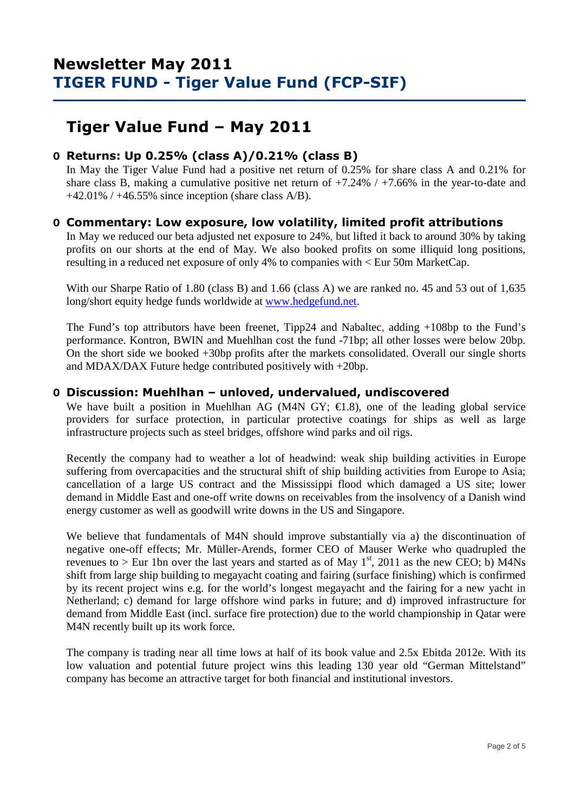## **Tiger Value Fund – May 2011**

### **O Returns: Up 0.25% (class A)/0.21% (class B)**

 In May the Tiger Value Fund had a positive net return of 0.25% for share class A and 0.21% for share class B, making a cumulative positive net return of +7.24% / +7.66% in the year-to-date and  $+42.01\%$  /  $+46.55\%$  since inception (share class A/B).

### **O Commentary: Low exposure, low volatility, limited profit attributions**

In May we reduced our beta adjusted net exposure to 24%, but lifted it back to around 30% by taking profits on our shorts at the end of May. We also booked profits on some illiquid long positions, resulting in a reduced net exposure of only 4% to companies with < Eur 50m MarketCap.

With our Sharpe Ratio of 1.80 (class B) and 1.66 (class A) we are ranked no. 45 and 53 out of 1,635 long/short equity hedge funds worldwide at www.hedgefund.net.

The Fund's top attributors have been freenet, Tipp24 and Nabaltec, adding +108bp to the Fund's performance. Kontron, BWIN and Muehlhan cost the fund -71bp; all other losses were below 20bp. On the short side we booked +30bp profits after the markets consolidated. Overall our single shorts and MDAX/DAX Future hedge contributed positively with +20bp.

#### **O Discussion: Muehlhan – unloved, undervalued, undiscovered**

We have built a position in Muehlhan AG (M4N GY;  $\in$ 18), one of the leading global service providers for surface protection, in particular protective coatings for ships as well as large infrastructure projects such as steel bridges, offshore wind parks and oil rigs.

Recently the company had to weather a lot of headwind: weak ship building activities in Europe suffering from overcapacities and the structural shift of ship building activities from Europe to Asia; cancellation of a large US contract and the Mississippi flood which damaged a US site; lower demand in Middle East and one-off write downs on receivables from the insolvency of a Danish wind energy customer as well as goodwill write downs in the US and Singapore.

We believe that fundamentals of M4N should improve substantially via a) the discontinuation of negative one-off effects; Mr. Müller-Arends, former CEO of Mauser Werke who quadrupled the revenues to > Eur 1bn over the last years and started as of May  $1<sup>st</sup>$ , 2011 as the new CEO; b) M4Ns shift from large ship building to megayacht coating and fairing (surface finishing) which is confirmed by its recent project wins e.g. for the world's longest megayacht and the fairing for a new yacht in Netherland; c) demand for large offshore wind parks in future; and d) improved infrastructure for demand from Middle East (incl. surface fire protection) due to the world championship in Qatar were M4N recently built up its work force.

The company is trading near all time lows at half of its book value and 2.5x Ebitda 2012e. With its low valuation and potential future project wins this leading 130 year old "German Mittelstand" company has become an attractive target for both financial and institutional investors.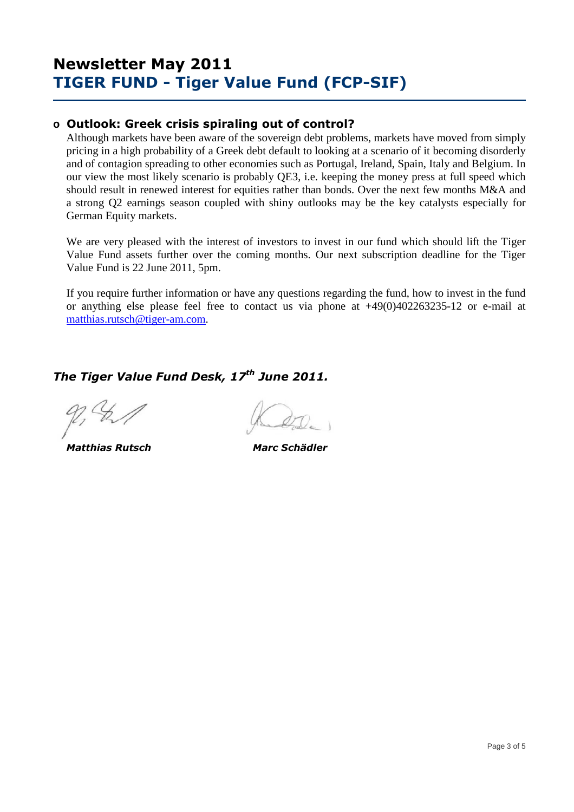### **o Outlook: Greek crisis spiraling out of control?**

Although markets have been aware of the sovereign debt problems, markets have moved from simply pricing in a high probability of a Greek debt default to looking at a scenario of it becoming disorderly and of contagion spreading to other economies such as Portugal, Ireland, Spain, Italy and Belgium. In our view the most likely scenario is probably QE3, i.e. keeping the money press at full speed which should result in renewed interest for equities rather than bonds. Over the next few months M&A and a strong Q2 earnings season coupled with shiny outlooks may be the key catalysts especially for German Equity markets.

We are very pleased with the interest of investors to invest in our fund which should lift the Tiger Value Fund assets further over the coming months. Our next subscription deadline for the Tiger Value Fund is 22 June 2011, 5pm.

If you require further information or have any questions regarding the fund, how to invest in the fund or anything else please feel free to contact us via phone at +49(0)402263235-12 or e-mail at matthias.rutsch@tiger-am.com.

*The Tiger Value Fund Desk, 17th June 2011.* 

 *Matthias Rutsch Marc Schädler*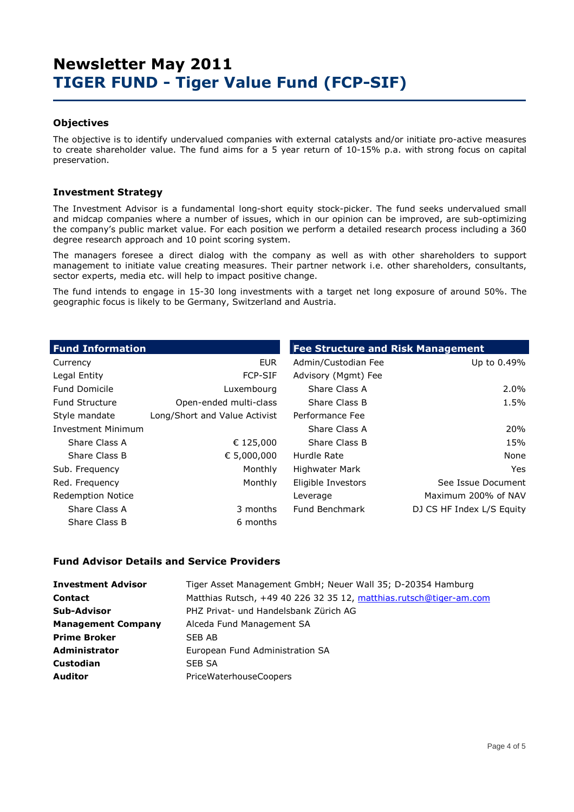#### **Objectives**

The objective is to identify undervalued companies with external catalysts and/or initiate pro-active measures to create shareholder value. The fund aims for a 5 year return of 10-15% p.a. with strong focus on capital preservation.

#### **Investment Strategy**

The Investment Advisor is a fundamental long-short equity stock-picker. The fund seeks undervalued small and midcap companies where a number of issues, which in our opinion can be improved, are sub-optimizing the company's public market value. For each position we perform a detailed research process including a 360 degree research approach and 10 point scoring system.

The managers foresee a direct dialog with the company as well as with other shareholders to support management to initiate value creating measures. Their partner network i.e. other shareholders, consultants, sector experts, media etc. will help to impact positive change.

The fund intends to engage in 15-30 long investments with a target net long exposure of around 50%. The geographic focus is likely to be Germany, Switzerland and Austria.

| <b>Fund Information</b>   |                               | <b>Fee Structure and Risk Management</b> |                           |  |  |  |  |
|---------------------------|-------------------------------|------------------------------------------|---------------------------|--|--|--|--|
| Currency                  | <b>EUR</b>                    | Admin/Custodian Fee                      | Up to 0.49%               |  |  |  |  |
| Legal Entity              | <b>FCP-SIF</b>                | Advisory (Mgmt) Fee                      |                           |  |  |  |  |
| <b>Fund Domicile</b>      | Luxembourg                    | Share Class A                            | 2.0%                      |  |  |  |  |
| <b>Fund Structure</b>     | Open-ended multi-class        | Share Class B                            | 1.5%                      |  |  |  |  |
| Style mandate             | Long/Short and Value Activist | Performance Fee                          |                           |  |  |  |  |
| <b>Investment Minimum</b> |                               | Share Class A                            | 20%                       |  |  |  |  |
| Share Class A             | € 125,000                     | Share Class B                            | 15%                       |  |  |  |  |
| Share Class B             | € 5,000,000                   | Hurdle Rate                              | None                      |  |  |  |  |
| Sub. Frequency            | Monthly                       | <b>Highwater Mark</b>                    | Yes.                      |  |  |  |  |
| Red. Frequency            | Monthly                       | Eligible Investors                       | See Issue Document        |  |  |  |  |
| <b>Redemption Notice</b>  |                               | Leverage                                 | Maximum 200% of NAV       |  |  |  |  |
| Share Class A             | 3 months                      | Fund Benchmark                           | DJ CS HF Index L/S Equity |  |  |  |  |
| Share Class B             | 6 months                      |                                          |                           |  |  |  |  |

#### **Fund Advisor Details and Service Providers**

| <b>Investment Advisor</b> | Tiger Asset Management GmbH; Neuer Wall 35; D-20354 Hamburg        |
|---------------------------|--------------------------------------------------------------------|
| <b>Contact</b>            | Matthias Rutsch, +49 40 226 32 35 12, matthias.rutsch@tiger-am.com |
| <b>Sub-Advisor</b>        | PHZ Privat- und Handelsbank Zürich AG                              |
| <b>Management Company</b> | Alceda Fund Management SA                                          |
| <b>Prime Broker</b>       | SEB AB                                                             |
| <b>Administrator</b>      | European Fund Administration SA                                    |
| <b>Custodian</b>          | SEB SA                                                             |
| <b>Auditor</b>            | <b>PriceWaterhouseCoopers</b>                                      |